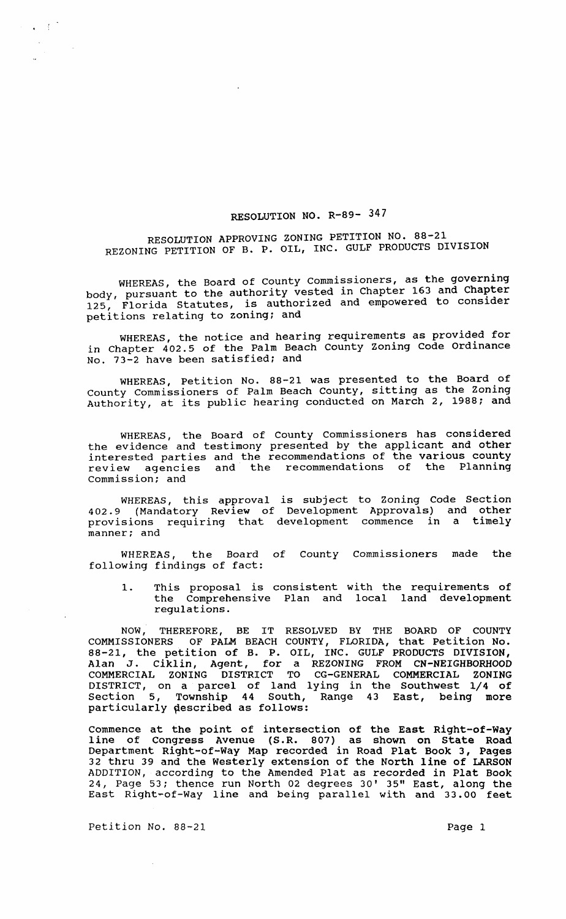## RESOLUTION NO. R-89- 347

RESOLUTION APPROVING ZONING PETITION NO. 88-21 REZONING PETITION OF B. P. OIL, INC. GULF PRODUCTS DIVISION

WHEREAS, the Board of County Commissioners, as the governing<br>body, pursuant to the authority vested in Chapter 163 and Chapter 125, Florida Statutes, is authorized and empowered to consider petitions relating to zoning; and

WHEREAS, the notice and hearing requirements as provided for in Chapter 402.5 of the Palm Beach County zoning Code Ordinance No. 73-2 have been satisfied; and

WHEREAS, Petition No. 88-21 was presented to the Board of County Commissioners of Palm Beach County, sitting as the Zoning Authority, at its public hearing conducted on March 2, 1988; and

WHEREAS, the Board of County commissioners has considered the evidence and testimony presented by the applicant and other interested parties and the recommendations of the various county review agencies and the recommendations of the Planning Commission; and

WHEREAS, this approval is subject to Zoning Code section 402.9 (Mandatory Review of Development Approvals) and other provisions requiring that development commence in a timely manner; and

WHEREAS, the Board of County commissioners made the following findings of fact:

1. This proposal is consistent with the requirements of the Comprehensive Plan and local land development regulations.

NOW, THEREFORE, BE IT RESOLVED BY THE BOARD OF COUNTY COMMISSIONERS OF PALM BEACH COUNTY, FLORIDA, that Petition No. 88-21, the petition of B. P. OIL, INC. GULF PRODUCTS DIVISION, Alan J. Ciklin, Agent, for a REZONING FROM CN-NEIGHBORHOOD COMMERCIAL ZONING DISTRICT TO CG-GENERAL COMMERCIAL ZONING DISTRICT, on a parcel of land lying in the Southwest 1/4 of section 5, Township 44 South, Range 43 East, being more particularly described as follows:

Commence at the point of intersection of the East Right-of-Way line of Congress Avenue (S.R. 807) as shown on State Road Department Right-of-Way Map recorded in Road Plat Book 3, Pages 32 thru 39 and the Westerly extension of the North line of LARSON ADDITION, according to the Amended Plat as recorded in Plat Book 24, Page 53; thence run North 02 degrees 30' 35" East, along the East Right-of-Way line and being parallel with and 33.00 feet

Petition No. 88-21 Page 1

 $\epsilon \in C^2$ 

 $\sim 10$